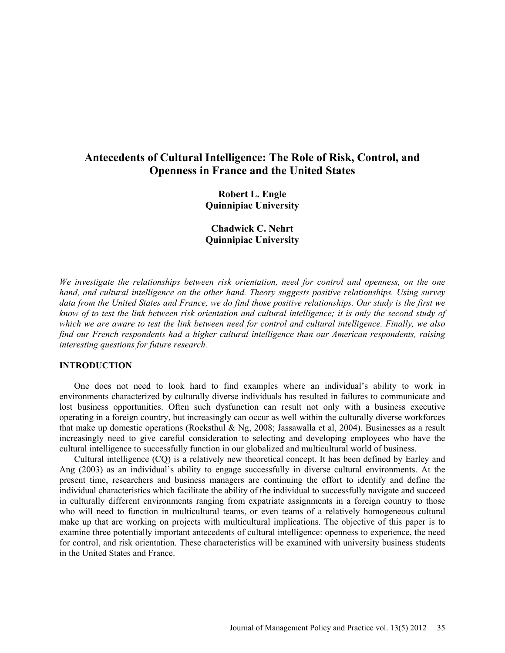# **Antecedents of Cultural Intelligence: The Role of Risk, Control, and Openness in France and the United States**

**Robert L. Engle Quinnipiac University** 

**Chadwick C. Nehrt Quinnipiac University** 

*We investigate the relationships between risk orientation, need for control and openness, on the one hand, and cultural intelligence on the other hand. Theory suggests positive relationships. Using survey data from the United States and France, we do find those positive relationships. Our study is the first we know of to test the link between risk orientation and cultural intelligence; it is only the second study of which we are aware to test the link between need for control and cultural intelligence. Finally, we also find our French respondents had a higher cultural intelligence than our American respondents, raising interesting questions for future research.* 

#### **INTRODUCTION**

One does not need to look hard to find examples where an individual's ability to work in environments characterized by culturally diverse individuals has resulted in failures to communicate and lost business opportunities. Often such dysfunction can result not only with a business executive operating in a foreign country, but increasingly can occur as well within the culturally diverse workforces that make up domestic operations (Rocksthul & Ng, 2008; Jassawalla et al, 2004). Businesses as a result increasingly need to give careful consideration to selecting and developing employees who have the cultural intelligence to successfully function in our globalized and multicultural world of business.

Cultural intelligence (CQ) is a relatively new theoretical concept. It has been defined by Earley and Ang (2003) as an individual's ability to engage successfully in diverse cultural environments. At the present time, researchers and business managers are continuing the effort to identify and define the individual characteristics which facilitate the ability of the individual to successfully navigate and succeed in culturally different environments ranging from expatriate assignments in a foreign country to those who will need to function in multicultural teams, or even teams of a relatively homogeneous cultural make up that are working on projects with multicultural implications. The objective of this paper is to examine three potentially important antecedents of cultural intelligence: openness to experience, the need for control, and risk orientation. These characteristics will be examined with university business students in the United States and France.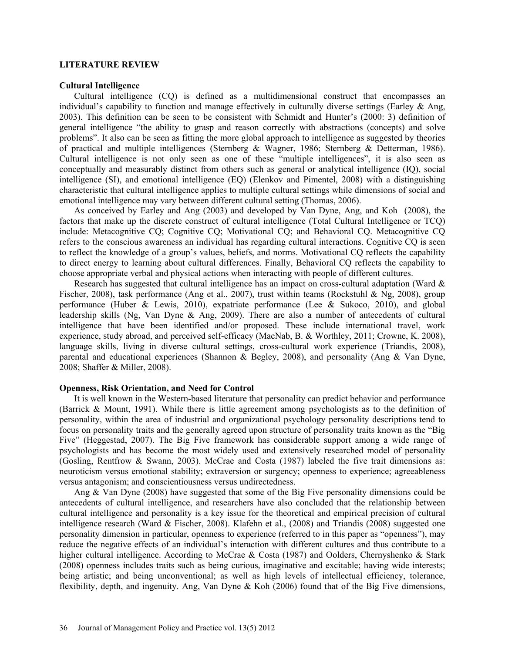#### **LITERATURE REVIEW**

#### **Cultural Intelligence**

Cultural intelligence (CQ) is defined as a multidimensional construct that encompasses an individual's capability to function and manage effectively in culturally diverse settings (Earley  $\&$  Ang, 2003). This definition can be seen to be consistent with Schmidt and Hunter's (2000: 3) definition of general intelligence "the ability to grasp and reason correctly with abstractions (concepts) and solve problems". It also can be seen as fitting the more global approach to intelligence as suggested by theories of practical and multiple intelligences (Sternberg & Wagner, 1986; Sternberg & Detterman, 1986). Cultural intelligence is not only seen as one of these "multiple intelligences", it is also seen as conceptually and measurably distinct from others such as general or analytical intelligence (IQ), social intelligence (SI), and emotional intelligence (EQ) (Elenkov and Pimentel, 2008) with a distinguishing characteristic that cultural intelligence applies to multiple cultural settings while dimensions of social and emotional intelligence may vary between different cultural setting (Thomas, 2006).

As conceived by Earley and Ang (2003) and developed by Van Dyne, Ang, and Koh (2008), the factors that make up the discrete construct of cultural intelligence (Total Cultural Intelligence or TCQ) include: Metacognitive CQ; Cognitive CQ; Motivational CQ; and Behavioral CQ. Metacognitive CQ refers to the conscious awareness an individual has regarding cultural interactions. Cognitive CQ is seen to reflect the knowledge of a group's values, beliefs, and norms. Motivational CQ reflects the capability to direct energy to learning about cultural differences. Finally, Behavioral CQ reflects the capability to choose appropriate verbal and physical actions when interacting with people of different cultures.

Research has suggested that cultural intelligence has an impact on cross-cultural adaptation (Ward  $\&$ Fischer, 2008), task performance (Ang et al., 2007), trust within teams (Rockstuhl & Ng, 2008), group performance (Huber & Lewis, 2010), expatriate performance (Lee & Sukoco, 2010), and global leadership skills (Ng, Van Dyne & Ang, 2009). There are also a number of antecedents of cultural intelligence that have been identified and/or proposed. These include international travel, work experience, study abroad, and perceived self-efficacy (MacNab, B. & Worthley, 2011; Crowne, K. 2008), language skills, living in diverse cultural settings, cross-cultural work experience (Triandis, 2008), parental and educational experiences (Shannon & Begley, 2008), and personality (Ang & Van Dyne, 2008; Shaffer & Miller, 2008).

#### **Openness, Risk Orientation, and Need for Control**

It is well known in the Western-based literature that personality can predict behavior and performance (Barrick & Mount, 1991). While there is little agreement among psychologists as to the definition of personality, within the area of industrial and organizational psychology personality descriptions tend to focus on personality traits and the generally agreed upon structure of personality traits known as the "Big Five" (Heggestad, 2007). The Big Five framework has considerable support among a wide range of psychologists and has become the most widely used and extensively researched model of personality (Gosling, Rentfrow & Swann, 2003). McCrae and Costa (1987) labeled the five trait dimensions as: neuroticism versus emotional stability; extraversion or surgency; openness to experience; agreeableness versus antagonism; and conscientiousness versus undirectedness.

Ang & Van Dyne (2008) have suggested that some of the Big Five personality dimensions could be antecedents of cultural intelligence, and researchers have also concluded that the relationship between cultural intelligence and personality is a key issue for the theoretical and empirical precision of cultural intelligence research (Ward & Fischer, 2008). Klafehn et al., (2008) and Triandis (2008) suggested one personality dimension in particular, openness to experience (referred to in this paper as "openness"), may reduce the negative effects of an individual's interaction with different cultures and thus contribute to a higher cultural intelligence. According to McCrae & Costa (1987) and Oolders, Chernyshenko & Stark (2008) openness includes traits such as being curious, imaginative and excitable; having wide interests; being artistic; and being unconventional; as well as high levels of intellectual efficiency, tolerance, flexibility, depth, and ingenuity. Ang, Van Dyne & Koh (2006) found that of the Big Five dimensions,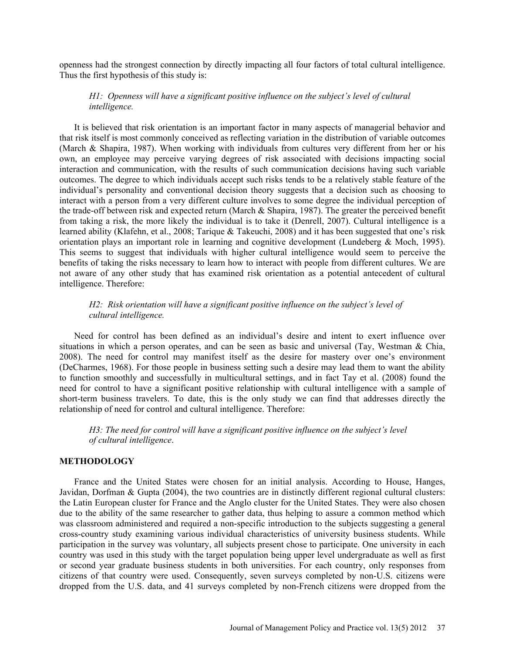openness had the strongest connection by directly impacting all four factors of total cultural intelligence. Thus the first hypothesis of this study is:

# *H1: Openness will have a significant positive influence on the subject's level of cultural intelligence.*

It is believed that risk orientation is an important factor in many aspects of managerial behavior and that risk itself is most commonly conceived as reflecting variation in the distribution of variable outcomes (March & Shapira, 1987). When working with individuals from cultures very different from her or his own, an employee may perceive varying degrees of risk associated with decisions impacting social interaction and communication, with the results of such communication decisions having such variable outcomes. The degree to which individuals accept such risks tends to be a relatively stable feature of the individual's personality and conventional decision theory suggests that a decision such as choosing to interact with a person from a very different culture involves to some degree the individual perception of the trade-off between risk and expected return (March & Shapira, 1987). The greater the perceived benefit from taking a risk, the more likely the individual is to take it (Denrell, 2007). Cultural intelligence is a learned ability (Klafehn, et al., 2008; Tarique & Takeuchi, 2008) and it has been suggested that one's risk orientation plays an important role in learning and cognitive development (Lundeberg & Moch, 1995). This seems to suggest that individuals with higher cultural intelligence would seem to perceive the benefits of taking the risks necessary to learn how to interact with people from different cultures. We are not aware of any other study that has examined risk orientation as a potential antecedent of cultural intelligence. Therefore:

# *H2: Risk orientation will have a significant positive influence on the subject's level of cultural intelligence.*

Need for control has been defined as an individual's desire and intent to exert influence over situations in which a person operates, and can be seen as basic and universal (Tay, Westman  $\&$  Chia, 2008). The need for control may manifest itself as the desire for mastery over one's environment (DeCharmes, 1968). For those people in business setting such a desire may lead them to want the ability to function smoothly and successfully in multicultural settings, and in fact Tay et al. (2008) found the need for control to have a significant positive relationship with cultural intelligence with a sample of short-term business travelers. To date, this is the only study we can find that addresses directly the relationship of need for control and cultural intelligence. Therefore:

*H3: The need for control will have a significant positive influence on the subject's level of cultural intelligence*.

## **METHODOLOGY**

France and the United States were chosen for an initial analysis. According to House, Hanges, Javidan, Dorfman & Gupta (2004), the two countries are in distinctly different regional cultural clusters: the Latin European cluster for France and the Anglo cluster for the United States. They were also chosen due to the ability of the same researcher to gather data, thus helping to assure a common method which was classroom administered and required a non-specific introduction to the subjects suggesting a general cross-country study examining various individual characteristics of university business students. While participation in the survey was voluntary, all subjects present chose to participate. One university in each country was used in this study with the target population being upper level undergraduate as well as first or second year graduate business students in both universities. For each country, only responses from citizens of that country were used. Consequently, seven surveys completed by non-U.S. citizens were dropped from the U.S. data, and 41 surveys completed by non-French citizens were dropped from the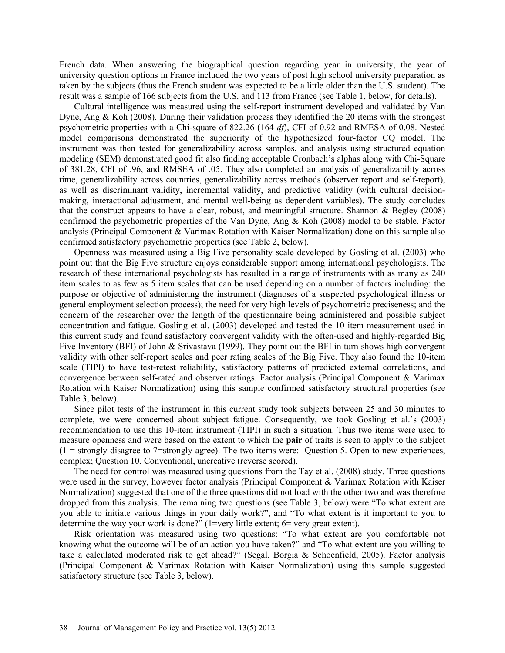French data. When answering the biographical question regarding year in university, the year of university question options in France included the two years of post high school university preparation as taken by the subjects (thus the French student was expected to be a little older than the U.S. student). The result was a sample of 166 subjects from the U.S. and 113 from France (see Table 1, below, for details).

Cultural intelligence was measured using the self-report instrument developed and validated by Van Dyne, Ang & Koh (2008). During their validation process they identified the 20 items with the strongest psychometric properties with a Chi-square of 822.26 (164 *df*), CFI of 0.92 and RMESA of 0.08. Nested model comparisons demonstrated the superiority of the hypothesized four-factor CQ model. The instrument was then tested for generalizability across samples, and analysis using structured equation modeling (SEM) demonstrated good fit also finding acceptable Cronbach's alphas along with Chi-Square of 381.28, CFI of .96, and RMSEA of .05. They also completed an analysis of generalizability across time, generalizability across countries, generalizability across methods (observer report and self-report), as well as discriminant validity, incremental validity, and predictive validity (with cultural decisionmaking, interactional adjustment, and mental well-being as dependent variables). The study concludes that the construct appears to have a clear, robust, and meaningful structure. Shannon & Begley (2008) confirmed the psychometric properties of the Van Dyne, Ang & Koh (2008) model to be stable. Factor analysis (Principal Component & Varimax Rotation with Kaiser Normalization) done on this sample also confirmed satisfactory psychometric properties (see Table 2, below).

Openness was measured using a Big Five personality scale developed by Gosling et al. (2003) who point out that the Big Five structure enjoys considerable support among international psychologists. The research of these international psychologists has resulted in a range of instruments with as many as 240 item scales to as few as 5 item scales that can be used depending on a number of factors including: the purpose or objective of administering the instrument (diagnoses of a suspected psychological illness or general employment selection process); the need for very high levels of psychometric preciseness; and the concern of the researcher over the length of the questionnaire being administered and possible subject concentration and fatigue. Gosling et al. (2003) developed and tested the 10 item measurement used in this current study and found satisfactory convergent validity with the often-used and highly-regarded Big Five Inventory (BFI) of John & Srivastava (1999). They point out the BFI in turn shows high convergent validity with other self-report scales and peer rating scales of the Big Five. They also found the 10-item scale (TIPI) to have test-retest reliability, satisfactory patterns of predicted external correlations, and convergence between self-rated and observer ratings. Factor analysis (Principal Component & Varimax Rotation with Kaiser Normalization) using this sample confirmed satisfactory structural properties (see Table 3, below).

Since pilot tests of the instrument in this current study took subjects between 25 and 30 minutes to complete, we were concerned about subject fatigue. Consequently, we took Gosling et al.'s (2003) recommendation to use this 10-item instrument (TIPI) in such a situation. Thus two items were used to measure openness and were based on the extent to which the **pair** of traits is seen to apply to the subject  $(1 =$  strongly disagree to 7=strongly agree). The two items were: Ouestion 5. Open to new experiences, complex; Question 10. Conventional, uncreative (reverse scored).

The need for control was measured using questions from the Tay et al. (2008) study. Three questions were used in the survey, however factor analysis (Principal Component & Varimax Rotation with Kaiser Normalization) suggested that one of the three questions did not load with the other two and was therefore dropped from this analysis. The remaining two questions (see Table 3, below) were "To what extent are you able to initiate various things in your daily work?", and "To what extent is it important to you to determine the way your work is done?" (1=very little extent; 6= very great extent).

Risk orientation was measured using two questions: "To what extent are you comfortable not knowing what the outcome will be of an action you have taken?" and "To what extent are you willing to take a calculated moderated risk to get ahead?" (Segal, Borgia & Schoenfield, 2005). Factor analysis (Principal Component & Varimax Rotation with Kaiser Normalization) using this sample suggested satisfactory structure (see Table 3, below).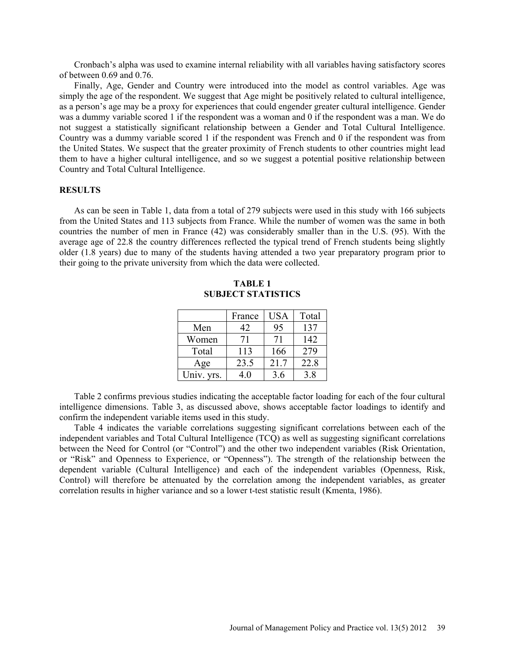Cronbach's alpha was used to examine internal reliability with all variables having satisfactory scores of between 0.69 and 0.76.

Finally, Age, Gender and Country were introduced into the model as control variables. Age was simply the age of the respondent. We suggest that Age might be positively related to cultural intelligence, as a person's age may be a proxy for experiences that could engender greater cultural intelligence. Gender was a dummy variable scored 1 if the respondent was a woman and 0 if the respondent was a man. We do not suggest a statistically significant relationship between a Gender and Total Cultural Intelligence. Country was a dummy variable scored 1 if the respondent was French and 0 if the respondent was from the United States. We suspect that the greater proximity of French students to other countries might lead them to have a higher cultural intelligence, and so we suggest a potential positive relationship between Country and Total Cultural Intelligence.

## **RESULTS**

As can be seen in Table 1, data from a total of 279 subjects were used in this study with 166 subjects from the United States and 113 subjects from France. While the number of women was the same in both countries the number of men in France (42) was considerably smaller than in the U.S. (95). With the average age of 22.8 the country differences reflected the typical trend of French students being slightly older (1.8 years) due to many of the students having attended a two year preparatory program prior to their going to the private university from which the data were collected.

| <b>TABLE 1</b>            |  |  |  |  |  |
|---------------------------|--|--|--|--|--|
| <b>SUBJECT STATISTICS</b> |  |  |  |  |  |

|            | France | <b>USA</b> | Total |
|------------|--------|------------|-------|
| Men        | 42     | 95         | 137   |
| Women      | 71     | 71         | 142   |
| Total      | 113    | 166        | 279   |
| Age        | 23.5   | 21.7       | 22.8  |
| Univ. yrs. | 40     | 3.6        | 3.8   |

Table 2 confirms previous studies indicating the acceptable factor loading for each of the four cultural intelligence dimensions. Table 3, as discussed above, shows acceptable factor loadings to identify and confirm the independent variable items used in this study.

Table 4 indicates the variable correlations suggesting significant correlations between each of the independent variables and Total Cultural Intelligence (TCQ) as well as suggesting significant correlations between the Need for Control (or "Control") and the other two independent variables (Risk Orientation, or "Risk" and Openness to Experience, or "Openness"). The strength of the relationship between the dependent variable (Cultural Intelligence) and each of the independent variables (Openness, Risk, Control) will therefore be attenuated by the correlation among the independent variables, as greater correlation results in higher variance and so a lower t-test statistic result (Kmenta, 1986).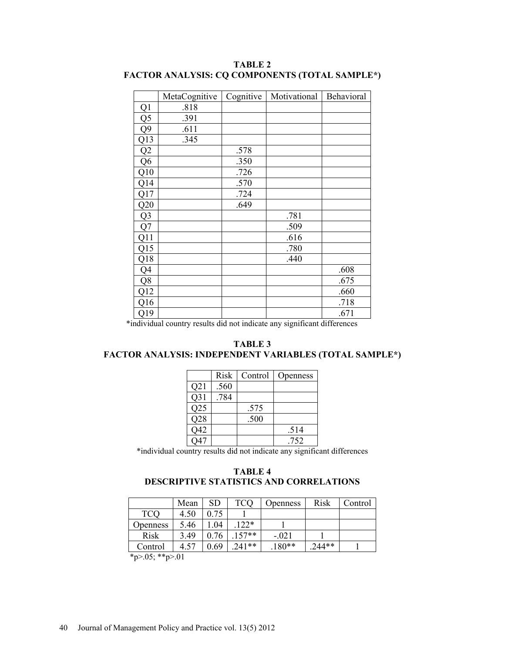|                | MetaCognitive | Cognitive | Motivational | Behavioral |
|----------------|---------------|-----------|--------------|------------|
| Q1             | .818          |           |              |            |
| Q <sub>5</sub> | .391          |           |              |            |
| Q <sub>9</sub> | .611          |           |              |            |
| Q13            | .345          |           |              |            |
| Q2             |               | .578      |              |            |
| Q <sub>6</sub> |               | .350      |              |            |
| Q10            |               | .726      |              |            |
| Q14            |               | .570      |              |            |
| Q17            |               | .724      |              |            |
| Q20            |               | .649      |              |            |
| Q <sub>3</sub> |               |           | .781         |            |
| Q7             |               |           | .509         |            |
| Q11            |               |           | .616         |            |
| Q15            |               |           | .780         |            |
| Q18            |               |           | .440         |            |
| Q4             |               |           |              | .608       |
| Q <sub>8</sub> |               |           |              | .675       |
| Q12            |               |           |              | .660       |
| Q16            |               |           |              | .718       |
| Q19            |               |           |              | .671       |

**TABLE 2 FACTOR ANALYSIS: CQ COMPONENTS (TOTAL SAMPLE\*)** 

\*individual country results did not indicate any significant differences

**TABLE 3 FACTOR ANALYSIS: INDEPENDENT VARIABLES (TOTAL SAMPLE\*)** 

|                 | Risk | Control | Openness |
|-----------------|------|---------|----------|
| Q21             | .560 |         |          |
| Q <sub>31</sub> | .784 |         |          |
| Q25             |      | .575    |          |
| Q28             |      | .500    |          |
| Q42             |      |         | .514     |
|                 |      |         | 752      |

\*individual country results did not indicate any significant differences

# **TABLE 4 DESCRIPTIVE STATISTICS AND CORRELATIONS**

|                 | Mean | SD   | <b>TCQ</b> | <b>Openness</b> | Risk    | Control |
|-----------------|------|------|------------|-----------------|---------|---------|
| <b>TCQ</b>      | 4.50 | 0.75 |            |                 |         |         |
| <b>Openness</b> | 5.46 | 04   | $122*$     |                 |         |         |
| <b>Risk</b>     | 3.49 | 0.76 | $.157**$   | $-.021$         |         |         |
| Control         | 4.57 | 0.69 | $241**$    | $.180**$        | $244**$ |         |
| 4.0744.01       |      |      |            |                 |         |         |

\*p>.05; \*\*p>.01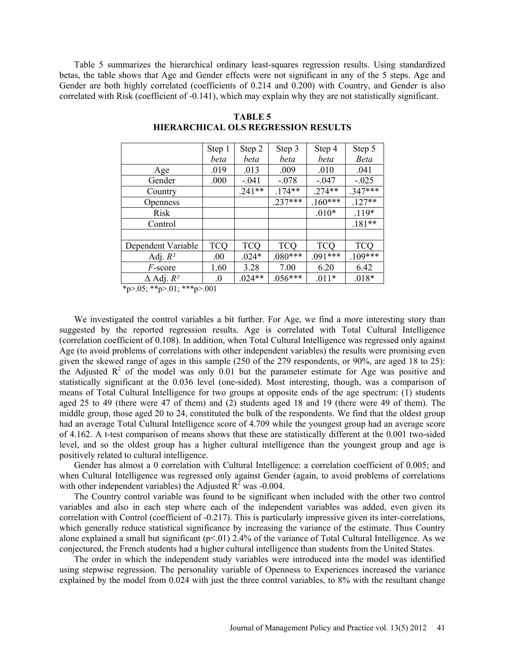Table 5 summarizes the hierarchical ordinary least-squares regression results. Using standardized betas, the table shows that Age and Gender effects were not significant in any of the 5 steps. Age and Gender are both highly correlated (coefficients of 0.214 and 0.200) with Country, and Gender is also correlated with Risk (coefficient of -0.141), which may explain why they are not statistically significant.

|                     | Step 1     | Step 2     | Step 3     | Step 4     | Step 5      |
|---------------------|------------|------------|------------|------------|-------------|
|                     | beta       | beta       | beta       | beta       | <b>Beta</b> |
| Age                 | .019       | .013       | .009       | .010       | .041        |
| Gender              | .000       | $-.041$    | $-.078$    | $-.047$    | $-.025$     |
| Country             |            | $.241**$   | $.174**$   | $.274**$   | $.347***$   |
| Openness            |            |            | $.237***$  | $.160***$  | $.127**$    |
| <b>Risk</b>         |            |            |            | $.010*$    | $.119*$     |
| Control             |            |            |            |            | $.181**$    |
|                     |            |            |            |            |             |
| Dependent Variable  | <b>TCQ</b> | <b>TCQ</b> | <b>TCQ</b> | <b>TCO</b> | <b>TCO</b>  |
| Adj. $R^2$          | .00        | $.024*$    | $.080***$  | $.091***$  | $.109***$   |
| F-score             | 1.60       | 3.28       | 7.00       | 6.20       | 6.42        |
| $\Delta$ Adj. $R^2$ | $\cdot$    | $.024**$   | $.056***$  | $.011*$    | $.018*$     |

**TABLE 5 HIERARCHICAL OLS REGRESSION RESULTS** 

 $*p>0.05$ ;  $*^*p>0.01$ ;  $*^*p>0.01$ 

We investigated the control variables a bit further. For Age, we find a more interesting story than suggested by the reported regression results. Age is correlated with Total Cultural Intelligence (correlation coefficient of 0.108). In addition, when Total Cultural Intelligence was regressed only against Age (to avoid problems of correlations with other independent variables) the results were promising even given the skewed range of ages in this sample (250 of the 279 respondents, or 90%, are aged 18 to 25): the Adjusted  $R^2$  of the model was only 0.01 but the parameter estimate for Age was positive and statistically significant at the 0.036 level (one-sided). Most interesting, though, was a comparison of means of Total Cultural Intelligence for two groups at opposite ends of the age spectrum: (1) students aged 25 to 49 (there were 47 of them) and (2) students aged 18 and 19 (there were 49 of them). The middle group, those aged 20 to 24, constituted the bulk of the respondents. We find that the oldest group had an average Total Cultural Intelligence score of 4.709 while the youngest group had an average score of 4.162. A t-test comparison of means shows that these are statistically different at the 0.001 two-sided level, and so the oldest group has a higher cultural intelligence than the youngest group and age is positively related to cultural intelligence.

Gender has almost a 0 correlation with Cultural Intelligence: a correlation coefficient of 0.005; and when Cultural Intelligence was regressed only against Gender (again, to avoid problems of correlations with other independent variables) the Adjusted  $R^2$  was -0.004.

The Country control variable was found to be significant when included with the other two control variables and also in each step where each of the independent variables was added, even given its correlation with Control (coefficient of -0.217). This is particularly impressive given its inter-correlations, which generally reduce statistical significance by increasing the variance of the estimate. Thus Country alone explained a small but significant  $(p<01)$  2.4% of the variance of Total Cultural Intelligence. As we conjectured, the French students had a higher cultural intelligence than students from the United States.

The order in which the independent study variables were introduced into the model was identified using stepwise regression. The personality variable of Openness to Experiences increased the variance explained by the model from 0.024 with just the three control variables, to 8% with the resultant change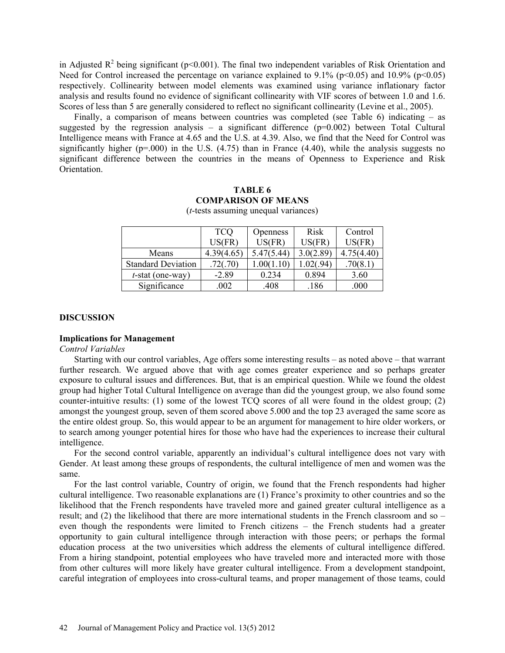in Adjusted  $\mathbb{R}^2$  being significant (p<0.001). The final two independent variables of Risk Orientation and Need for Control increased the percentage on variance explained to 9.1% ( $p<0.05$ ) and 10.9% ( $p<0.05$ ) respectively. Collinearity between model elements was examined using variance inflationary factor analysis and results found no evidence of significant collinearity with VIF scores of between 1.0 and 1.6. Scores of less than 5 are generally considered to reflect no significant collinearity (Levine et al., 2005).

Finally, a comparison of means between countries was completed (see Table 6) indicating – as suggested by the regression analysis – a significant difference  $(p=0.002)$  between Total Cultural Intelligence means with France at 4.65 and the U.S. at 4.39. Also, we find that the Need for Control was significantly higher ( $p=000$ ) in the U.S. (4.75) than in France (4.40), while the analysis suggests no significant difference between the countries in the means of Openness to Experience and Risk Orientation.

# **TABLE 6 COMPARISON OF MEANS**

|                           | <b>TCQ</b> | <b>Openness</b> | Risk      | Control    |
|---------------------------|------------|-----------------|-----------|------------|
|                           | US(FR)     | US(FR)          | $US$ (FR) | US(FR)     |
| Means                     | 4.39(4.65) | 5.47(5.44)      | 3.0(2.89) | 4.75(4.40) |
| <b>Standard Deviation</b> | .72(.70)   |                 | .02(.94)  | .70(8.1)   |
| $t$ -stat (one-way)       | $-2.89$    | 0.234           | 0.894     | 3.60       |
| Significance              | 002        | .408            | .186      | .000       |

(*t*-tests assuming unequal variances)

## **DISCUSSION**

## **Implications for Management**

*Control Variables*

Starting with our control variables, Age offers some interesting results – as noted above – that warrant further research. We argued above that with age comes greater experience and so perhaps greater exposure to cultural issues and differences. But, that is an empirical question. While we found the oldest group had higher Total Cultural Intelligence on average than did the youngest group, we also found some counter-intuitive results: (1) some of the lowest TCQ scores of all were found in the oldest group; (2) amongst the youngest group, seven of them scored above 5.000 and the top 23 averaged the same score as the entire oldest group. So, this would appear to be an argument for management to hire older workers, or to search among younger potential hires for those who have had the experiences to increase their cultural intelligence.

For the second control variable, apparently an individual's cultural intelligence does not vary with Gender. At least among these groups of respondents, the cultural intelligence of men and women was the same.

For the last control variable, Country of origin, we found that the French respondents had higher cultural intelligence. Two reasonable explanations are (1) France's proximity to other countries and so the likelihood that the French respondents have traveled more and gained greater cultural intelligence as a result; and (2) the likelihood that there are more international students in the French classroom and so – even though the respondents were limited to French citizens – the French students had a greater opportunity to gain cultural intelligence through interaction with those peers; or perhaps the formal education process at the two universities which address the elements of cultural intelligence differed. From a hiring standpoint, potential employees who have traveled more and interacted more with those from other cultures will more likely have greater cultural intelligence. From a development standpoint, careful integration of employees into cross-cultural teams, and proper management of those teams, could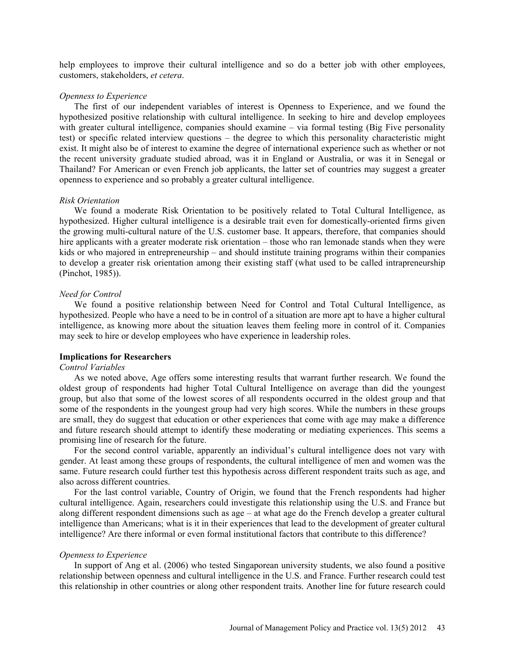help employees to improve their cultural intelligence and so do a better job with other employees, customers, stakeholders, *et cetera*.

#### *Openness to Experience*

The first of our independent variables of interest is Openness to Experience, and we found the hypothesized positive relationship with cultural intelligence. In seeking to hire and develop employees with greater cultural intelligence, companies should examine – via formal testing (Big Five personality test) or specific related interview questions – the degree to which this personality characteristic might exist. It might also be of interest to examine the degree of international experience such as whether or not the recent university graduate studied abroad, was it in England or Australia, or was it in Senegal or Thailand? For American or even French job applicants, the latter set of countries may suggest a greater openness to experience and so probably a greater cultural intelligence.

#### *Risk Orientation*

We found a moderate Risk Orientation to be positively related to Total Cultural Intelligence, as hypothesized. Higher cultural intelligence is a desirable trait even for domestically-oriented firms given the growing multi-cultural nature of the U.S. customer base. It appears, therefore, that companies should hire applicants with a greater moderate risk orientation – those who ran lemonade stands when they were kids or who majored in entrepreneurship – and should institute training programs within their companies to develop a greater risk orientation among their existing staff (what used to be called intrapreneurship (Pinchot, 1985)).

#### *Need for Control*

We found a positive relationship between Need for Control and Total Cultural Intelligence, as hypothesized. People who have a need to be in control of a situation are more apt to have a higher cultural intelligence, as knowing more about the situation leaves them feeling more in control of it. Companies may seek to hire or develop employees who have experience in leadership roles.

## **Implications for Researchers**

#### *Control Variables*

As we noted above, Age offers some interesting results that warrant further research. We found the oldest group of respondents had higher Total Cultural Intelligence on average than did the youngest group, but also that some of the lowest scores of all respondents occurred in the oldest group and that some of the respondents in the youngest group had very high scores. While the numbers in these groups are small, they do suggest that education or other experiences that come with age may make a difference and future research should attempt to identify these moderating or mediating experiences. This seems a promising line of research for the future.

For the second control variable, apparently an individual's cultural intelligence does not vary with gender. At least among these groups of respondents, the cultural intelligence of men and women was the same. Future research could further test this hypothesis across different respondent traits such as age, and also across different countries.

For the last control variable, Country of Origin, we found that the French respondents had higher cultural intelligence. Again, researchers could investigate this relationship using the U.S. and France but along different respondent dimensions such as age – at what age do the French develop a greater cultural intelligence than Americans; what is it in their experiences that lead to the development of greater cultural intelligence? Are there informal or even formal institutional factors that contribute to this difference?

#### *Openness to Experience*

In support of Ang et al. (2006) who tested Singaporean university students, we also found a positive relationship between openness and cultural intelligence in the U.S. and France. Further research could test this relationship in other countries or along other respondent traits. Another line for future research could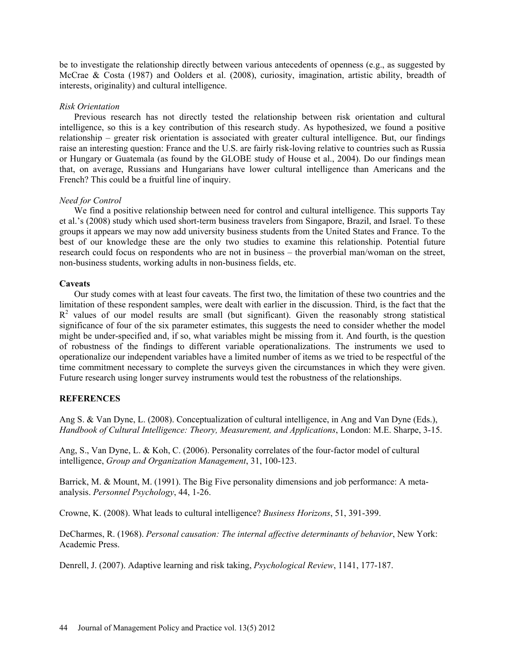be to investigate the relationship directly between various antecedents of openness (e.g., as suggested by McCrae & Costa (1987) and Oolders et al. (2008), curiosity, imagination, artistic ability, breadth of interests, originality) and cultural intelligence.

## *Risk Orientation*

Previous research has not directly tested the relationship between risk orientation and cultural intelligence, so this is a key contribution of this research study. As hypothesized, we found a positive relationship – greater risk orientation is associated with greater cultural intelligence. But, our findings raise an interesting question: France and the U.S. are fairly risk-loving relative to countries such as Russia or Hungary or Guatemala (as found by the GLOBE study of House et al., 2004). Do our findings mean that, on average, Russians and Hungarians have lower cultural intelligence than Americans and the French? This could be a fruitful line of inquiry.

# *Need for Control*

We find a positive relationship between need for control and cultural intelligence. This supports Tay et al.'s (2008) study which used short-term business travelers from Singapore, Brazil, and Israel. To these groups it appears we may now add university business students from the United States and France. To the best of our knowledge these are the only two studies to examine this relationship. Potential future research could focus on respondents who are not in business – the proverbial man/woman on the street, non-business students, working adults in non-business fields, etc.

# **Caveats**

Our study comes with at least four caveats. The first two, the limitation of these two countries and the limitation of these respondent samples, were dealt with earlier in the discussion. Third, is the fact that the  $R<sup>2</sup>$  values of our model results are small (but significant). Given the reasonably strong statistical significance of four of the six parameter estimates, this suggests the need to consider whether the model might be under-specified and, if so, what variables might be missing from it. And fourth, is the question of robustness of the findings to different variable operationalizations. The instruments we used to operationalize our independent variables have a limited number of items as we tried to be respectful of the time commitment necessary to complete the surveys given the circumstances in which they were given. Future research using longer survey instruments would test the robustness of the relationships.

# **REFERENCES**

Ang S. & Van Dyne, L. (2008). Conceptualization of cultural intelligence, in Ang and Van Dyne (Eds.), *Handbook of Cultural Intelligence: Theory, Measurement, and Applications*, London: M.E. Sharpe, 3-15.

Ang, S., Van Dyne, L. & Koh, C. (2006). Personality correlates of the four-factor model of cultural intelligence, *Group and Organization Management*, 31, 100-123.

Barrick, M. & Mount, M. (1991). The Big Five personality dimensions and job performance: A metaanalysis. *Personnel Psychology*, 44, 1-26.

Crowne, K. (2008). What leads to cultural intelligence? *Business Horizons*, 51, 391-399.

DeCharmes, R. (1968). *Personal causation: The internal affective determinants of behavior*, New York: Academic Press.

Denrell, J. (2007). Adaptive learning and risk taking, *Psychological Review*, 1141, 177-187.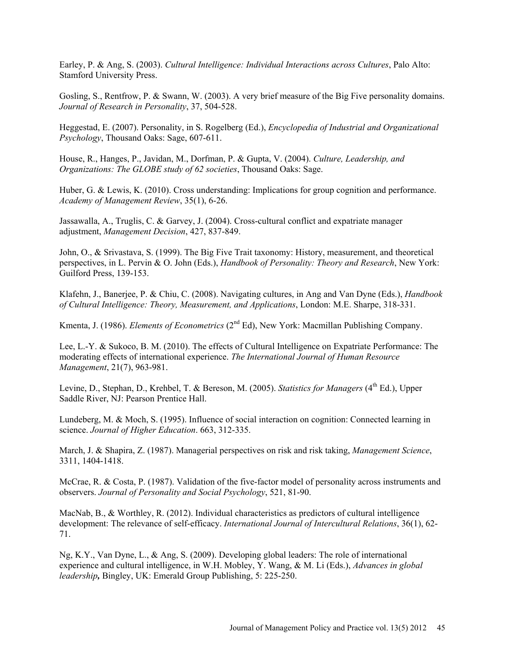Earley, P. & Ang, S. (2003). *Cultural Intelligence: Individual Interactions across Cultures*, Palo Alto: Stamford University Press.

Gosling, S., Rentfrow, P. & Swann, W. (2003). A very brief measure of the Big Five personality domains. *Journal of Research in Personality*, 37, 504-528.

Heggestad, E. (2007). Personality, in S. Rogelberg (Ed.), *Encyclopedia of Industrial and Organizational Psychology*, Thousand Oaks: Sage, 607-611.

House, R., Hanges, P., Javidan, M., Dorfman, P. & Gupta, V. (2004). *Culture, Leadership, and Organizations: The GLOBE study of 62 societies*, Thousand Oaks: Sage.

Huber, G. & Lewis, K. (2010). Cross understanding: Implications for group cognition and performance. *Academy of Management Review*, 35(1), 6-26.

Jassawalla, A., Truglis, C. & Garvey, J. (2004). Cross-cultural conflict and expatriate manager adjustment, *Management Decision*, 427, 837-849.

John, O., & Srivastava, S. (1999). The Big Five Trait taxonomy: History, measurement, and theoretical perspectives, in L. Pervin & O. John (Eds.), *Handbook of Personality: Theory and Research*, New York: Guilford Press, 139-153.

Klafehn, J., Banerjee, P. & Chiu, C. (2008). Navigating cultures, in Ang and Van Dyne (Eds.), *Handbook of Cultural Intelligence: Theory, Measurement, and Applications*, London: M.E. Sharpe, 318-331.

Kmenta, J. (1986). *Elements of Econometrics* (2nd Ed), New York: Macmillan Publishing Company.

Lee, L.-Y. & Sukoco, B. M. (2010). The effects of Cultural Intelligence on Expatriate Performance: The moderating effects of international experience. *The International Journal of Human Resource Management*, 21(7), 963-981.

Levine, D., Stephan, D., Krehbel, T. & Bereson, M. (2005). *Statistics for Managers* (4<sup>th</sup> Ed.). Upper Saddle River, NJ: Pearson Prentice Hall.

Lundeberg, M. & Moch, S. (1995). Influence of social interaction on cognition: Connected learning in science. *Journal of Higher Education*. 663, 312-335.

March, J. & Shapira, Z. (1987). Managerial perspectives on risk and risk taking, *Management Science*, 3311, 1404-1418.

McCrae, R. & Costa, P. (1987). Validation of the five-factor model of personality across instruments and observers. *Journal of Personality and Social Psychology*, 521, 81-90.

MacNab, B., & Worthley, R. (2012). Individual characteristics as predictors of cultural intelligence development: The relevance of self-efficacy. *International Journal of Intercultural Relations*, 36(1), 62- 71.

Ng, K.Y., Van Dyne, L., & Ang, S. (2009). Developing global leaders: The role of international experience and cultural intelligence, in W.H. Mobley, Y. Wang, & M. Li (Eds.), *Advances in global leadership,* Bingley, UK: Emerald Group Publishing, 5: 225-250.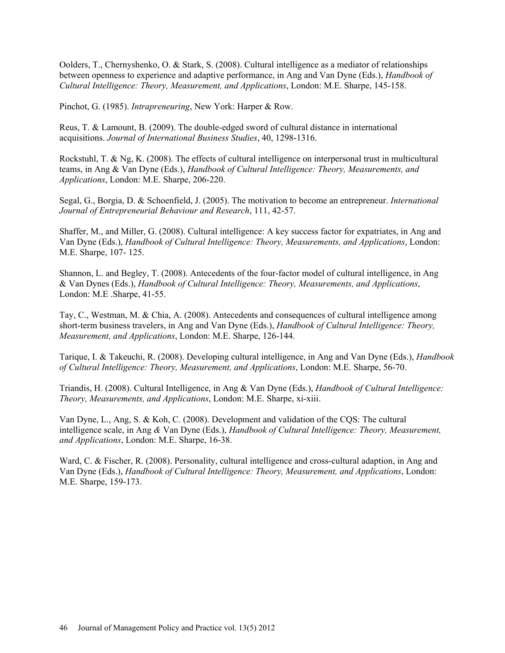Oolders, T., Chernyshenko, O. & Stark, S. (2008). Cultural intelligence as a mediator of relationships between openness to experience and adaptive performance, in Ang and Van Dyne (Eds.), *Handbook of Cultural Intelligence: Theory, Measurement, and Applications*, London: M.E. Sharpe, 145-158.

Pinchot, G. (1985). *Intrapreneuring*, New York: Harper & Row.

Reus, T. & Lamount, B. (2009). The double-edged sword of cultural distance in international acquisitions. *Journal of International Business Studies*, 40, 1298-1316.

Rockstuhl, T. & Ng, K. (2008). The effects of cultural intelligence on interpersonal trust in multicultural teams, in Ang & Van Dyne (Eds.), *Handbook of Cultural Intelligence: Theory, Measurements, and Applications*, London: M.E. Sharpe, 206-220.

Segal, G., Borgia, D. & Schoenfield, J. (2005). The motivation to become an entrepreneur. *International Journal of Entrepreneurial Behaviour and Research*, 111, 42-57.

Shaffer, M., and Miller, G. (2008). Cultural intelligence: A key success factor for expatriates, in Ang and Van Dyne (Eds.), *Handbook of Cultural Intelligence: Theory, Measurements, and Applications*, London: M.E. Sharpe, 107- 125.

Shannon, L. and Begley, T. (2008). Antecedents of the four-factor model of cultural intelligence, in Ang & Van Dynes (Eds.), *Handbook of Cultural Intelligence: Theory, Measurements, and Applications*, London: M.E .Sharpe, 41-55.

Tay, C., Westman, M. & Chia, A. (2008). Antecedents and consequences of cultural intelligence among short-term business travelers, in Ang and Van Dyne (Eds.), *Handbook of Cultural Intelligence: Theory, Measurement, and Applications*, London: M.E. Sharpe, 126-144.

Tarique, I. & Takeuchi, R. (2008). Developing cultural intelligence, in Ang and Van Dyne (Eds.), *Handbook of Cultural Intelligence: Theory, Measurement, and Applications*, London: M.E. Sharpe, 56-70.

Triandis, H. (2008). Cultural Intelligence, in Ang & Van Dyne (Eds.), *Handbook of Cultural Intelligence: Theory, Measurements, and Applications*, London: M.E. Sharpe, xi-xiii.

Van Dyne, L., Ang, S. & Koh, C. (2008). Development and validation of the CQS: The cultural intelligence scale, in Ang *&* Van Dyne (Eds.), *Handbook of Cultural Intelligence: Theory, Measurement, and Applications*, London: M.E. Sharpe, 16-38.

Ward, C. & Fischer, R. (2008). Personality, cultural intelligence and cross-cultural adaption, in Ang and Van Dyne (Eds.), *Handbook of Cultural Intelligence: Theory, Measurement, and Applications*, London: M.E. Sharpe, 159-173.